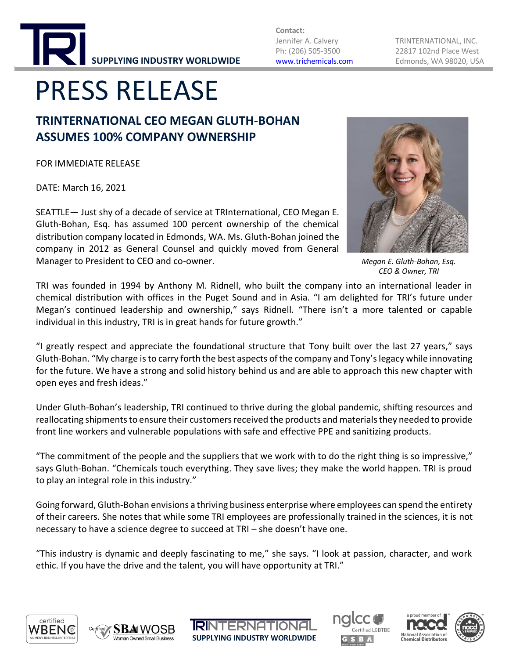

**Contact:**

Jennifer A. Calvery TRINTERNATIONAL, INC. Ph: (206) 505-3500 22817 102nd Place West [www.trichemicals.com](http://www.trichemicals.com/) Edmonds, WA 98020, USA

# PRESS RELEASE

### **TRINTERNATIONAL CEO MEGAN GLUTH-BOHAN ASSUMES 100% COMPANY OWNERSHIP**

FOR IMMEDIATE RELEASE

DATE: March 16, 2021

SEATTLE— Just shy of a decade of service at TRInternational, CEO Megan E. Gluth-Bohan, Esq. has assumed 100 percent ownership of the chemical distribution company located in Edmonds, WA. Ms. Gluth-Bohan joined the company in 2012 as General Counsel and quickly moved from General Manager to President to CEO and co-owner.



*Megan E. Gluth-Bohan, Esq. CEO & Owner, TRI*

TRI was founded in 1994 by Anthony M. Ridnell, who built the company into an international leader in chemical distribution with offices in the Puget Sound and in Asia. "I am delighted for TRI's future under Megan's continued leadership and ownership," says Ridnell. "There isn't a more talented or capable individual in this industry, TRI is in great hands for future growth."

"I greatly respect and appreciate the foundational structure that Tony built over the last 27 years," says Gluth-Bohan. "My charge is to carry forth the best aspects of the company and Tony's legacy while innovating for the future. We have a strong and solid history behind us and are able to approach this new chapter with open eyes and fresh ideas."

Under Gluth-Bohan's leadership, TRI continued to thrive during the global pandemic, shifting resources and reallocating shipments to ensure their customers received the products and materials they needed to provide front line workers and vulnerable populations with safe and effective PPE and sanitizing products.

"The commitment of the people and the suppliers that we work with to do the right thing is so impressive," says Gluth-Bohan. "Chemicals touch everything. They save lives; they make the world happen. TRI is proud to play an integral role in this industry."

Going forward, Gluth-Bohan envisions a thriving business enterprise where employees can spend the entirety of their careers. She notes that while some TRI employees are professionally trained in the sciences, it is not necessary to have a science degree to succeed at TRI – she doesn't have one.

"This industry is dynamic and deeply fascinating to me," she says. "I look at passion, character, and work ethic. If you have the drive and the talent, you will have opportunity at TRI."